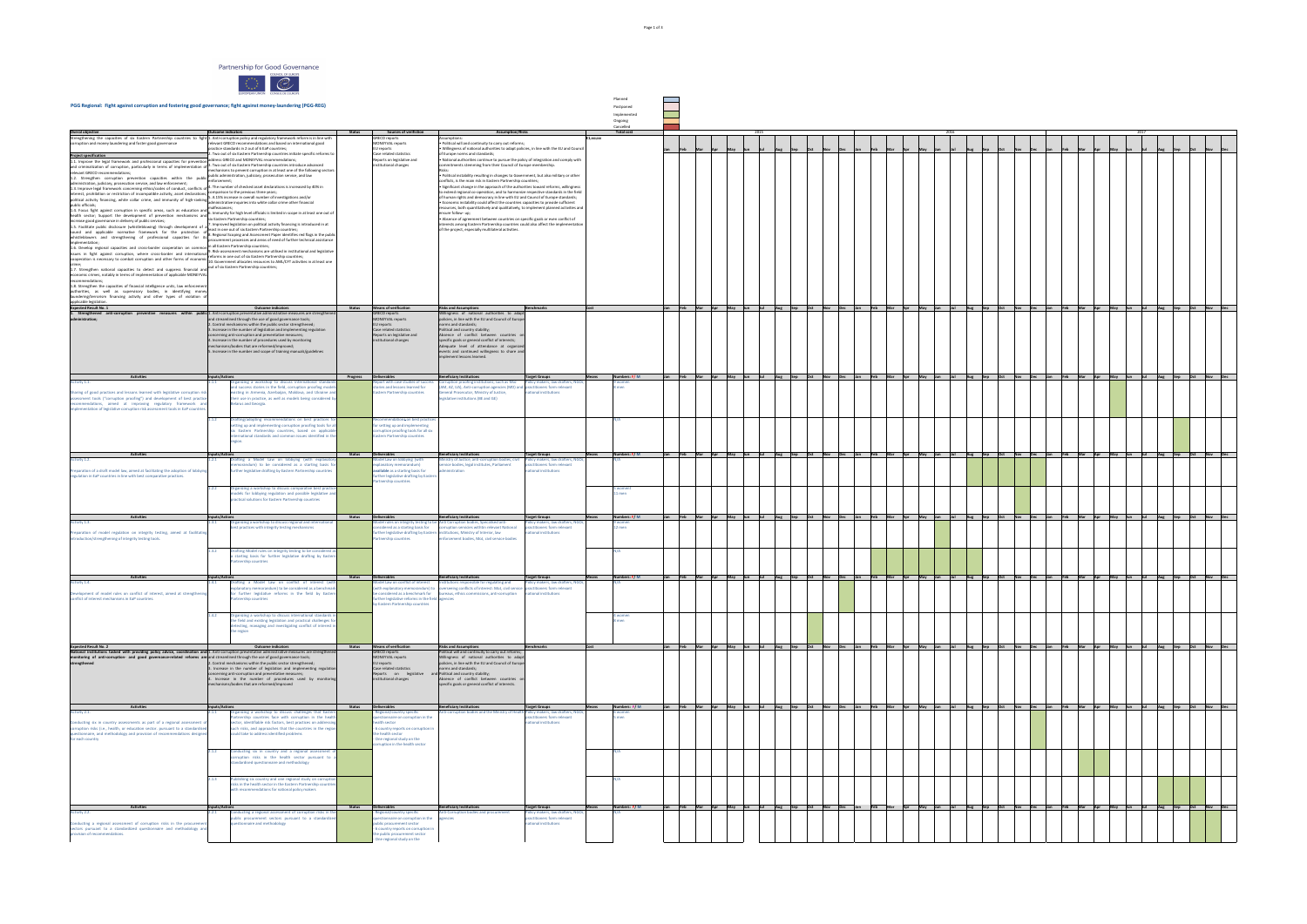Partnership for Good Governance

COUNCIL OF EUROPE

| <b>Overal objective</b>                                                                                                                                                                                                                                                                   | <b>Outcome indicators</b>                                                                                                        |                                                                                                                                                                                                                                                                                                                                                                                                                                                                                                                                    | <b>Status</b> |
|-------------------------------------------------------------------------------------------------------------------------------------------------------------------------------------------------------------------------------------------------------------------------------------------|----------------------------------------------------------------------------------------------------------------------------------|------------------------------------------------------------------------------------------------------------------------------------------------------------------------------------------------------------------------------------------------------------------------------------------------------------------------------------------------------------------------------------------------------------------------------------------------------------------------------------------------------------------------------------|---------------|
| Strengthening the capacities of six Eastern Partnership countries to fight 1. Anti-corruption policy and regulatory framework reform is in line with<br>corruption and money laundering and foster good governance<br><b>Project specification</b>                                        |                                                                                                                                  | relevant GRECO recommendations and based on international good<br>practice standards in 2 out of 6 EaP countries;<br>2. Two out of six Eastern Partnership countries initiate specific reforms to                                                                                                                                                                                                                                                                                                                                  |               |
| 1.1. Improve the legal framework and professional capacities for prevention<br>and criminalization of corruption, particularly in terms of implementation of $\vert$ <sup>3.</sup> Two out of six Eastern Partnership countries introduce advanced<br>relevant GRECO recommendations;     |                                                                                                                                  | address GRECO and MONEYVAL recommendations;<br>mechanisms to prevent corruption in at least one of the following sectors:<br>public administration, judiciary, prosecution service, and law                                                                                                                                                                                                                                                                                                                                        |               |
| 1.2. Strengthen corruption prevention capacities within the public<br>administration, judiciary, prosecution service, and law enforcement;<br>1.3. Improve legal framework concerning ethics/codes of conduct, conflicts of                                                               | enforcement;                                                                                                                     | 4. The number of checked asset declarations is increased by 40% in<br>comparison to the previous three years;                                                                                                                                                                                                                                                                                                                                                                                                                      |               |
| interest, prohibition or restriction of incompatible activity, asset declarations,<br>political activity financing, white collar crime, and immunity of high-ranking<br>public officials;                                                                                                 | 5. A 15% increase in overall number of investigations and/or<br>administrative inquiries into white collar crime other financial |                                                                                                                                                                                                                                                                                                                                                                                                                                                                                                                                    |               |
| 1.4. Focus fight against corruption in specific areas, such as education and<br>health sector; Support the development of prevention mechanisms and                                                                                                                                       | malfeasances;                                                                                                                    | 6. Immunity for high level officials is limited in scope in at least one out of<br>six Eastern Partnership countries;                                                                                                                                                                                                                                                                                                                                                                                                              |               |
| increase good governance in delivery of public services;<br>1.5. Facilitate public disclosure (whistleblowing) through development of a<br>sound and applicable normative framework for the protection<br>οt                                                                              |                                                                                                                                  | 7. Improved legislation on political activity financing is introduced in at<br>least in one out of six Eastern Partnership countries;<br>8. Regional Scoping and Assessment Paper identifies red flags in the public                                                                                                                                                                                                                                                                                                               |               |
| whistleblowers and strengthening of professional capacities for its<br>implementation;<br>1.6. Develop regional capacities and cross-border cooperation on common                                                                                                                         |                                                                                                                                  | procurement processes and areas of need of further technical assistance<br>in all Eastern Partnership countries;                                                                                                                                                                                                                                                                                                                                                                                                                   |               |
| issues in fight against corruption, where cross-border and international<br>cooperation is necessary to combat corruption and other forms of economic<br>crime;<br>1.7. Strengthen national capacities to detect and suppress financial and                                               |                                                                                                                                  | 9. Risk-assessment mechanisms are utilised in institutional and legislative<br>reforms in one out of six Eastern Partnership countries;<br>10. Government allocates resources to AML/CFT activities in at least one<br>out of six Eastern Partnership countries;                                                                                                                                                                                                                                                                   |               |
| economic crimes, notably in terms of implementation of applicable MONEYVAL<br>recommendations;                                                                                                                                                                                            |                                                                                                                                  |                                                                                                                                                                                                                                                                                                                                                                                                                                                                                                                                    |               |
| 1.8. Strengthen the capacities of financial intelligence units, law enforcement<br>authorities, as well as supervisory bodies, in identifying money<br>laundering/terrorism financing activity and other types of violation of<br>applicable legislation.<br><b>Expected Result No. 1</b> |                                                                                                                                  | <b>Outcome indicators</b>                                                                                                                                                                                                                                                                                                                                                                                                                                                                                                          | <b>Status</b> |
| 1. Strengthened anti-corruption<br>within<br>preventive measures<br>administration;                                                                                                                                                                                                       |                                                                                                                                  | public 1. Anti-corruption preventative administrative measures are strengthened<br>and streamlined through the use of good governance tools;<br>2. Control mechanisms within the public sector strengthened;<br>3. Increase in the number of legislation and implementing regulation<br>concerning anti-corruption and preventative measures;<br>4. Increase in the number of procedures used by monitoring<br>mechanisms/bodies that are reformed/improved;<br>5. Increase in the number and scope of training manuals/guidelines |               |
| <b>Activities</b>                                                                                                                                                                                                                                                                         | Inputs/Actions                                                                                                                   |                                                                                                                                                                                                                                                                                                                                                                                                                                                                                                                                    | Progress      |
| Activity 1.1.<br>Sharing of good practices and lessons learned with legislative corruption risk<br>assessment tools ("corruption proofing") and development of best practice<br>recommendations, aimed at improving regulatory framework and                                              | 1.1.1                                                                                                                            | Organizing a workshop to discuss international standards<br>and success stories in the field, corruption proofing models<br>existing in Armenia, Azerbaijan, Moldova, and Ukraine and<br>their use in practice, as well as models being considered by<br>Belarus and Georgia.                                                                                                                                                                                                                                                      |               |
| implementation of legislative corruption risk assessment tools in EaP countries.                                                                                                                                                                                                          | 1.1.2                                                                                                                            | Drafting/adopting recommendations on best practices for<br>setting up and implementing corruption proofing tools for all<br>six Eastern Partnership countries, based on applicable<br>international standards and common issues identified in the<br>region.                                                                                                                                                                                                                                                                       |               |
| <b>Activities</b><br>Activity 1.2.                                                                                                                                                                                                                                                        | Inputs/Actions<br>1.2.1                                                                                                          | Drafting a Model Law on lobbying (with explanatory                                                                                                                                                                                                                                                                                                                                                                                                                                                                                 | <b>Status</b> |
| Preparation of a draft model law, aimed at facilitating the adoption of lobbying<br>regulation in EaP countries in line with best comparative practices.                                                                                                                                  |                                                                                                                                  | memorandum) to be considered as a starting basis for<br>further legislative drafting by Eastern Partnership countries                                                                                                                                                                                                                                                                                                                                                                                                              |               |
|                                                                                                                                                                                                                                                                                           | 1.2.2                                                                                                                            | Organizing a workshop to discuss comparative best practice<br>models for lobbying regulation and possible legislative and<br>practical solutions for Eastern Partnership countries                                                                                                                                                                                                                                                                                                                                                 |               |
| <b>Activities</b><br>Activity 1.3.                                                                                                                                                                                                                                                        | Inputs/Actions<br>1.3.1                                                                                                          | Organizing a workshop to discuss regional and international<br>best practices with integrity testing mechanisms                                                                                                                                                                                                                                                                                                                                                                                                                    | <b>Status</b> |
| Preparation of model regulation on integrity testing, aimed at facilitating<br>introduction/strengthening of integrity testing tools.                                                                                                                                                     | 1.3.2                                                                                                                            |                                                                                                                                                                                                                                                                                                                                                                                                                                                                                                                                    |               |
|                                                                                                                                                                                                                                                                                           |                                                                                                                                  | Drafting Model rules on integrity testing to be considered as<br>a starting basis for further legislative drafting by Eastern<br>Partnership countries                                                                                                                                                                                                                                                                                                                                                                             |               |
| <b>Activities</b><br>Activity 1.4.                                                                                                                                                                                                                                                        | Inputs/Actions<br>1.4.1                                                                                                          | Drafting a Model Law on conflict of interest (with<br>explanatory memorandum) to be considered as a benchmark                                                                                                                                                                                                                                                                                                                                                                                                                      | <b>Status</b> |
| Development of model rules on conflict of interest, aimed at strengthening<br>conflict of interest mechanisms in EaP countries.                                                                                                                                                           |                                                                                                                                  | for further legislative reforms in the field by Eastern<br>Partnership countries                                                                                                                                                                                                                                                                                                                                                                                                                                                   |               |
|                                                                                                                                                                                                                                                                                           | 1.4.2                                                                                                                            | Organizing a workshop to discuss international standards in<br>the field and existing legislation and practical challenges for<br>detecting, managing and investigating conflict of interest in<br>the region                                                                                                                                                                                                                                                                                                                      |               |
| <b>Expected Result No. 2</b><br>National institutions tasked with providing policy advice, coordination and 1. Anti-corruption preventative administrative measures are strengthened                                                                                                      |                                                                                                                                  | <b>Outcome indicators</b>                                                                                                                                                                                                                                                                                                                                                                                                                                                                                                          | <b>Status</b> |
| monitoring of anti-corruption- and good governance-related reforms are and streamlined through the use of good governance tools;<br>strengthened                                                                                                                                          |                                                                                                                                  | 2. Control mechanisms within the public sector strengthened;<br>3. Increase in the number of legislation and implementing regulation<br>concerning anti-corruption and preventative measures;<br>$\vert$ 4. Increase in the number of procedures used by monitoring<br>mechanisms/bodies that are reformed/improved                                                                                                                                                                                                                |               |
| <b>Activities</b>                                                                                                                                                                                                                                                                         | Inputs/Actions                                                                                                                   |                                                                                                                                                                                                                                                                                                                                                                                                                                                                                                                                    | <b>Status</b> |
| Activity 2.1.<br>Conducting six in country assessments as part of a regional assessment of<br>corruption risks (i.e., health, or education sector. pursuant to a standardised<br>questionnaire, and methodology and provision of recommendations designed<br>for each country             | 2.1.1                                                                                                                            | Organizing a workshop to discuss challenges that Eastern<br>Partnership countries face with corruption in the health<br>sector, identifiable risk factors, best practices on addressing<br>such risks, and approaches that the countries in the region<br>could take to address identified problems                                                                                                                                                                                                                                |               |
|                                                                                                                                                                                                                                                                                           | 2.1.2                                                                                                                            | Conducting six in country and a regional assessment of<br>corruption risks in the health sector pursuant to a<br>standardised questionnaire and methodology                                                                                                                                                                                                                                                                                                                                                                        |               |
|                                                                                                                                                                                                                                                                                           | 2.1.3                                                                                                                            | Publishing six country and one regional study on corruption<br>risks in the health sector in the Eastern Partnership countries<br>with recommendations for national policy makers                                                                                                                                                                                                                                                                                                                                                  |               |
| <b>Activities</b>                                                                                                                                                                                                                                                                         | Inputs/Actions                                                                                                                   |                                                                                                                                                                                                                                                                                                                                                                                                                                                                                                                                    | <b>Status</b> |
| Activity 2.2.<br>Conducting a regional assessment of corruption risks in the procurement<br>sectors pursuant to a standardized questionnaire and methodology and<br>provision of recommendations.                                                                                         | 2.2.1                                                                                                                            | Conducting a regional assessment of corruption risks in the<br>public procurement sectors pursuant to a standardized<br>questionnaire and methodology                                                                                                                                                                                                                                                                                                                                                                              |               |
|                                                                                                                                                                                                                                                                                           |                                                                                                                                  |                                                                                                                                                                                                                                                                                                                                                                                                                                                                                                                                    |               |

| LONGELAN ONIGN CONSEIL DE LEONOFI<br>vernance; fight against money-laundering (PGG-REG)                                                                                                                                                                                                                                                                                                                                                                                                                                                                                                                                                                                                                                                                                                                                                                                                                                                                                                                                                                                                                                                                                                                                                                                                                                                                                                                                                                                                                                                                                                                                          |                                                                                                                                                                                                                                                                                         |                                                                                                                                                                                                                                                                                                                                                                                                                                                                                                                                                                                                                                                                                                                                                                                                                                                                                                                                                                                                                                                                                                                                                                                                                                                                  | Planned<br>Postponed                                                                                                                |                                                                                    |         |                                                                                                                                                                                                                                                                                                    |     |                         |                         |                         |              |                         |  |  |  |  |  |
|----------------------------------------------------------------------------------------------------------------------------------------------------------------------------------------------------------------------------------------------------------------------------------------------------------------------------------------------------------------------------------------------------------------------------------------------------------------------------------------------------------------------------------------------------------------------------------------------------------------------------------------------------------------------------------------------------------------------------------------------------------------------------------------------------------------------------------------------------------------------------------------------------------------------------------------------------------------------------------------------------------------------------------------------------------------------------------------------------------------------------------------------------------------------------------------------------------------------------------------------------------------------------------------------------------------------------------------------------------------------------------------------------------------------------------------------------------------------------------------------------------------------------------------------------------------------------------------------------------------------------------|-----------------------------------------------------------------------------------------------------------------------------------------------------------------------------------------------------------------------------------------------------------------------------------------|------------------------------------------------------------------------------------------------------------------------------------------------------------------------------------------------------------------------------------------------------------------------------------------------------------------------------------------------------------------------------------------------------------------------------------------------------------------------------------------------------------------------------------------------------------------------------------------------------------------------------------------------------------------------------------------------------------------------------------------------------------------------------------------------------------------------------------------------------------------------------------------------------------------------------------------------------------------------------------------------------------------------------------------------------------------------------------------------------------------------------------------------------------------------------------------------------------------------------------------------------------------|-------------------------------------------------------------------------------------------------------------------------------------|------------------------------------------------------------------------------------|---------|----------------------------------------------------------------------------------------------------------------------------------------------------------------------------------------------------------------------------------------------------------------------------------------------------|-----|-------------------------|-------------------------|-------------------------|--------------|-------------------------|--|--|--|--|--|
|                                                                                                                                                                                                                                                                                                                                                                                                                                                                                                                                                                                                                                                                                                                                                                                                                                                                                                                                                                                                                                                                                                                                                                                                                                                                                                                                                                                                                                                                                                                                                                                                                                  |                                                                                                                                                                                                                                                                                         | Implemented<br>Ongoing                                                                                                                                                                                                                                                                                                                                                                                                                                                                                                                                                                                                                                                                                                                                                                                                                                                                                                                                                                                                                                                                                                                                                                                                                                           |                                                                                                                                     |                                                                                    |         |                                                                                                                                                                                                                                                                                                    |     |                         |                         |                         |              |                         |  |  |  |  |  |
| <b>Outcome indicators</b><br><b>Status</b><br>1. Anti-corruption policy and regulatory framework reform is in line with<br>relevant GRECO recommendations and based on international good<br>practice standards in 2 out of 6 EaP countries;<br>2. Two out of six Eastern Partnership countries initiate specific reforms to<br>address GRECO and MONEYVAL recommendations;<br>3. Two out of six Eastern Partnership countries introduce advanced<br>mechanisms to prevent corruption in at least one of the following sectors:<br>public administration, judiciary, prosecution service, and law<br>enforcement;<br>4. The number of checked asset declarations is increased by 40% in<br>comparison to the previous three years;<br>5. A 15% increase in overall number of investigations and/or<br>administrative inquiries into white collar crime other financial<br>malfeasances;<br>6. Immunity for high level officials is limited in scope in at least one out of<br>six Eastern Partnership countries;<br>7. Improved legislation on political activity financing is introduced in at<br>least in one out of six Eastern Partnership countries;<br>8. Regional Scoping and Assessment Paper identifies red flags in the public<br>procurement processes and areas of need of further technical assistance<br>in all Eastern Partnership countries;<br>9. Risk-assessment mechanisms are utilised in institutional and legislative<br>reforms in one out of six Eastern Partnership countries;<br>10. Government allocates resources to AML/CFT activities in at least one<br>out of six Eastern Partnership countries; | <b>Sources of verifiction</b><br>GRECO reports<br>MONEYVAL reports<br>EU reports<br>Case related statistics<br>Reports on legislative and<br>institutional changes                                                                                                                      | <b>Assumption/Risks</b><br>ssumptions:<br>. Political will and continuity to carry out reforms;<br>• Willingness of national authorities to adapt policies, in line with the EU and Council $ $<br>of Europe norms and standards;<br>$\cdot$ National authorities continue to pursue the policy of integration and comply with<br>commitments stemming from their Council of Europe membership.<br>. Political instability resulting in changes to Government, but also military or other<br>onflicts, is the main risk in Eastern Partnership countries;<br>Significant change in the approach of the authorities toward reforms, willingness<br>to extend regional co-operation, and to harmonize respective standards in the field<br>of human rights and democracy in line with EU and Council of Europe standards;<br><b>Economic instability could affect the countries capacities to provide sufficient</b><br>resources, both quantitatively and qualitatively, to implement planned activities and<br>ensure follow- up;<br>• Absence of agreement between countries on specific goals or even conflict of<br>interests among Eastern Partnership countries could also affect the implementation<br>of the project, especially multilateral activities. |                                                                                                                                     | Cancelled<br><b>Total cost</b><br>E1.200.000                                       |         | 2015                                                                                                                                                                                                                                                                                               |     | 2016                    |                         |                         | 2017<br> May | Aug<br> Sep             |  |  |  |  |  |
| <b>Outcome indicators</b><br><b>Status</b><br>1. Anti-corruption preventative administrative measures are strengthened<br>and streamlined through the use of good governance tools;<br>2. Control mechanisms within the public sector strengthened;<br>3. Increase in the number of legislation and implementing regulation<br>concerning anti-corruption and preventative measures;<br>4. Increase in the number of procedures used by monitoring<br>mechanisms/bodies that are reformed/improved;<br>5. Increase in the number and scope of training manuals/guidelines                                                                                                                                                                                                                                                                                                                                                                                                                                                                                                                                                                                                                                                                                                                                                                                                                                                                                                                                                                                                                                                        | Means of verification<br><b>GRECO</b> reports<br>MONEYVAL reports<br>EU reports<br>Case related statistics<br>Reports on legislative and<br>institutional changes                                                                                                                       | <b>Risks and Assumptions</b><br>Willingness of national authorities to adapt<br>policies, in line with the EU and Council of Europe<br>norms and standards;<br>Political and country stability;<br>Absence of conflict between countries or<br>specific goals or general conflict of interests;<br>Adequate level of attendance at organized<br>events and continued willingness to share and<br>mplement lessons learned.                                                                                                                                                                                                                                                                                                                                                                                                                                                                                                                                                                                                                                                                                                                                                                                                                                       | Benchmarks                                                                                                                          | Cost                                                                               |         | Jan  Feb  Mar  Apr  May  Jun  Jul  Aug  Sep  Oct  Nov  Dec  Jan  Feb  Mar  Apr  May  Jun  Jul  Aug  Sep  Oct  Nov  Dec  Jan  Feb  Mar  Apr  May  Jun  Jul  Aug  Sep  Oct  Nov  Dec                                                                                                                 |     |                         |                         |                         |              |                         |  |  |  |  |  |
| <b>Inputs/Actions</b><br><b>Progress</b><br>1.1.1<br>Organizing a workshop to discuss international standards<br>and success stories in the field, corruption proofing models<br>existing in Armenia, Azerbaijan, Moldova, and Ukraine and<br>their use in practice, as well as models being considered by<br>Belarus and Georgia.<br>Drafting/adopting recommendations on best practices for<br>1.1.2<br>setting up and implementing corruption proofing tools for all<br>six Eastern Partnership countries, based on applicable<br>international standards and common issues identified in the                                                                                                                                                                                                                                                                                                                                                                                                                                                                                                                                                                                                                                                                                                                                                                                                                                                                                                                                                                                                                                 | Deliverables<br>Report with case studies of success<br>stories and lessons learned for<br><b>Eastern Partnership countries</b><br>Recommendations on best practices<br>for setting up and implementing<br>corruption proofing tools for all six<br><b>Eastern Partnership countries</b> | <b>Beneficiary Institutions</b><br>Corruption proofing institutions, such as MoJ<br>(AM, AZ, UA), Anti-corruption agencies (MD) and practitioners form relevant<br>General Prosecutor, Ministry of Justice,<br>egislative institutions (BE and GE)                                                                                                                                                                                                                                                                                                                                                                                                                                                                                                                                                                                                                                                                                                                                                                                                                                                                                                                                                                                                               | <b>Target Groups</b><br>Policy makers, law drafters, NGOs,<br>national institutions                                                 | Numbers: $F/M$<br><b>Means</b><br>9 women<br>3 men l                               |         | Jan Feb Mar Apr May Jun Jul Aug Sep Oct Nov Dec Jan Feb Mar Apr May Jun Jul Aug Sep Oct Nov Dec Jan Feb Mar Apr May Jun Jul Aug Sep Oct Nov Dec                                                                                                                                                    |     |                         |                         |                         |              |                         |  |  |  |  |  |
| <b>Inputs/Actions</b><br><b>Status</b><br>Drafting a Model Law on lobbying (with explanatory<br>1.2.1<br>memorandum) to be considered as a starting basis fo<br>further legislative drafting by Eastern Partnership countries<br>Organizing a workshop to discuss comparative best practice<br>1.2.2<br>models for lobbying regulation and possible legislative and<br>practical solutions for Eastern Partnership countries<br><b>Inputs/Actions</b><br><b>Status</b>                                                                                                                                                                                                                                                                                                                                                                                                                                                                                                                                                                                                                                                                                                                                                                                                                                                                                                                                                                                                                                                                                                                                                           | Deliverables<br>Model Law on lobbying (with<br>explanatory memorandum)<br><b>available</b> as a starting basis for<br><b>I</b> further legislative drafting by Eastern<br><b>Partnership countries</b><br>Deliverables                                                                  | <b>Beneficiary Institutions</b><br>Ministry of Justice, anti-corruption bodies, civil<br>service bodies, legal institutes, Parliament<br>administration<br><b>Beneficiary Institutions</b>                                                                                                                                                                                                                                                                                                                                                                                                                                                                                                                                                                                                                                                                                                                                                                                                                                                                                                                                                                                                                                                                       | Target Groups<br>Policy makers, law drafters, NGOs,<br>practitioners form relevant<br>national institutions<br><b>Target Groups</b> | Numbers: F/M<br><b>Means</b><br>5 woment<br>11 men<br>Numbers: F/M<br><b>Means</b> | Jan Feb | May Jun<br>Mar Apr<br>Aug Sep Oct Nov<br>$\sqrt{2}$ Jul $\sqrt{2}$<br>Jan  Feb  Mar  Apr  May Jun  Jul  Aug  Sep  Oct  Nov  Dec  Jan  Feb  Mar  Apr  May  Jun  Jul  Aug  Sep  Oct  Nov  Dec  Jan  Feb  Mar  Apr  May  Jun                                                                          | Dec | Feb Mar Apr May Jun     | Jul Aug Sep Oct Nov Dec | Feb Mar Apr May Jun     |              | Jul Aug Sep Oct Nov Dec |  |  |  |  |  |
| Organizing a workshop to discuss regional and international<br>1.3.1<br>best practices with integrity testing mechanisms<br>Drafting Model rules on integrity testing to be considered as<br>1.3.2<br>a starting basis for further legislative drafting by Eastern<br><b>Partnership countries</b>                                                                                                                                                                                                                                                                                                                                                                                                                                                                                                                                                                                                                                                                                                                                                                                                                                                                                                                                                                                                                                                                                                                                                                                                                                                                                                                               | considered as a starting basis for<br><b>Partnership countries</b>                                                                                                                                                                                                                      | Model rules on integrity testing to be Anti Corruption bodies, Specalised anti-<br>corruption servicies withtin relevant National<br>further legislative drafting by Eastern linstitutions, Ministry of Interior, law<br>enforcement bodies, MoJ, civil service bodies                                                                                                                                                                                                                                                                                                                                                                                                                                                                                                                                                                                                                                                                                                                                                                                                                                                                                                                                                                                           | Policy makers, law drafters, NGOs,<br>practitioners form relevant<br>national institutions                                          | 9 women<br>12 men                                                                  |         |                                                                                                                                                                                                                                                                                                    |     |                         |                         |                         |              | Jul Aug Sep Oct Nov Dec |  |  |  |  |  |
| <b>Inputs/Actions</b><br><b>Status</b><br>Drafting a Model Law on conflict of interest (with<br>1.4.1<br>explanatory memorandum) to be considered as a benchmark<br>for further legislative reforms in the field by Eastern<br><b>Partnership countries</b><br>Organizing a workshop to discuss international standards in<br>1.4.2<br>the field and existing legislation and practical challenges for<br>detecting, managing and investigating conflict of interest in<br>the region                                                                                                                                                                                                                                                                                                                                                                                                                                                                                                                                                                                                                                                                                                                                                                                                                                                                                                                                                                                                                                                                                                                                            | Deliverables<br>Model Law on conflict of interest<br>(with explanatory memorandum) to<br>be considered as a benchmark for<br>further legislative reforms in the field agencies<br>by Eastern Partnership countries                                                                      | <b>Beneficiary Institutions</b><br>Institutions responsible for regulating and<br>overseeing conflicts of interest: MoJ, civil service practitioners form relevant<br>bureaus, ethics commissions, anti-corruption                                                                                                                                                                                                                                                                                                                                                                                                                                                                                                                                                                                                                                                                                                                                                                                                                                                                                                                                                                                                                                               | <b>Target Groups</b><br>Policy makers, law drafters, NGOs<br>national institutions                                                  | Numbers: F/M<br><b>Means</b><br>4 women<br>3 men l                                 |         | Jan Feb Mar Apr May Jun<br>Aug Sep Oct Nov Dec                                                                                                                                                                                                                                                     |     | Jan Feb Mar Apr May Jun | Jul Aug Sep Oct Nov Dec | Jan Feb Mar Apr May Jun |              | Aug Sep Oct Nov Dec     |  |  |  |  |  |
| <b>Outcome indicators</b><br><b>Status</b><br>1. Anti-corruption preventative administrative measures are strengthened<br>and streamlined through the use of good governance tools;<br>2. Control mechanisms within the public sector strengthened;<br>3. Increase in the number of legislation and implementing regulation<br>concerning anti-corruption and preventative measures;<br>4. Increase in the number of procedures used by monitoring<br>mechanisms/bodies that are reformed/improved<br><b>Inputs/Actions</b><br><b>Status</b>                                                                                                                                                                                                                                                                                                                                                                                                                                                                                                                                                                                                                                                                                                                                                                                                                                                                                                                                                                                                                                                                                     | Means of verification<br><b>GRECO</b> reports<br>MONEYVAL reports<br>EU reports<br>Case related statistics<br>Reports on legislative<br>institutional changes<br>Deliverables                                                                                                           | <b>Risks and Assumptions</b><br>Political will and continuity to carry out reforms;<br>Willingness of national authorities to adapt<br>policies, in line with the EU and Council of Europe<br>norms and standards;<br>  Political and country stability;<br>Absence of conflict between countries or<br>specific goals or general conflict of interests.<br><b>Beneficiary Institutions</b>                                                                                                                                                                                                                                                                                                                                                                                                                                                                                                                                                                                                                                                                                                                                                                                                                                                                      | Benchmarks<br><b>Target Groups</b>                                                                                                  | Cost<br>Numbers: F/M                                                               |         | Jan Feb Mar Apr May Jun Jul Aug Sep Oct Nov Dec Jan Feb Mar Apr May Jun Jul Aug Sep Oct Nov Dec Jan Feb Mar Apr May Jun Jul Aug Sep Oct Nov Dec<br>Jan Feb Mar Apr May Jun Jul Aug Sep Oct Nov Dec Jan Feb Mar Apr May Jun Jul Aug Sep Oct Nov Dec Jan Feb Mar Apr May Jun Jul Aug Sep Oct Nov Dec |     |                         |                         |                         |              |                         |  |  |  |  |  |
| Organizing a workshop to discuss challenges that Eastern<br>2.1.1<br>Partnership countries face with corruption in the health<br>sector, identifiable risk factors, best practices on addressing<br>such risks, and approaches that the countries in the region<br>could take to address identified problems<br>2.1.2<br>Conducting six in country and a regional assessment of<br>corruption risks in the health sector pursuant to<br>standardised questionnaire and methodology<br>2.1.3<br>Publishing six country and one regional study on corruption<br>risks in the health sector in the Eastern Partnership countries<br>with recommendations for national policy makers                                                                                                                                                                                                                                                                                                                                                                                                                                                                                                                                                                                                                                                                                                                                                                                                                                                                                                                                                 | - Regional/country specific<br>questionnaire on corruption in the<br>health sector<br>- 6 country reports on corruption in<br>the health sector<br>- One regional study on the<br>corruption in the health sector                                                                       | Anti-corruption bodies and the Ministry of Health Policy makers, law drafters, NGOs,                                                                                                                                                                                                                                                                                                                                                                                                                                                                                                                                                                                                                                                                                                                                                                                                                                                                                                                                                                                                                                                                                                                                                                             | practitioners form relevant<br>national institutions                                                                                | 6 women<br>5 men                                                                   |         |                                                                                                                                                                                                                                                                                                    |     |                         |                         |                         |              |                         |  |  |  |  |  |
| <b>Inputs/Actions</b><br><b>Status</b><br>Conducting a regional assessment of corruption risks in the<br>2.2.1<br>public procurement sectors pursuant to a standardized<br>questionnaire and methodology                                                                                                                                                                                                                                                                                                                                                                                                                                                                                                                                                                                                                                                                                                                                                                                                                                                                                                                                                                                                                                                                                                                                                                                                                                                                                                                                                                                                                         | Deliverables<br>- Regional/country specific<br>questionnaire on corruption in the<br>public procurement sector<br>- 6 country reports on corruption in<br>the public procurement sector<br>- One regional study on the                                                                  | <b>Beneficiary Institutions</b><br>Anti-Corruption bodies and procurement<br>agencies                                                                                                                                                                                                                                                                                                                                                                                                                                                                                                                                                                                                                                                                                                                                                                                                                                                                                                                                                                                                                                                                                                                                                                            | <b>Target Groups</b><br>Policy makers, law drafters, NGOs,<br>practitioners form relevant<br>national institutions                  | Numbers: $F/M$<br><b>Means</b>                                                     |         | Jan Feb Mar Apr May Jun Jul Aug Sep Oct Nov Dec Jan Feb Mar Apr May Jun Jul Aug Sep Oct Nov Dec Jan Feb Mar Apr May Jun                                                                                                                                                                            |     |                         |                         |                         |              | Aug Sep Oct Nov Dec     |  |  |  |  |  |

**PGG Regional: Fight against corruption and fostering good governance; fight against money-laundering (PGG-REG)**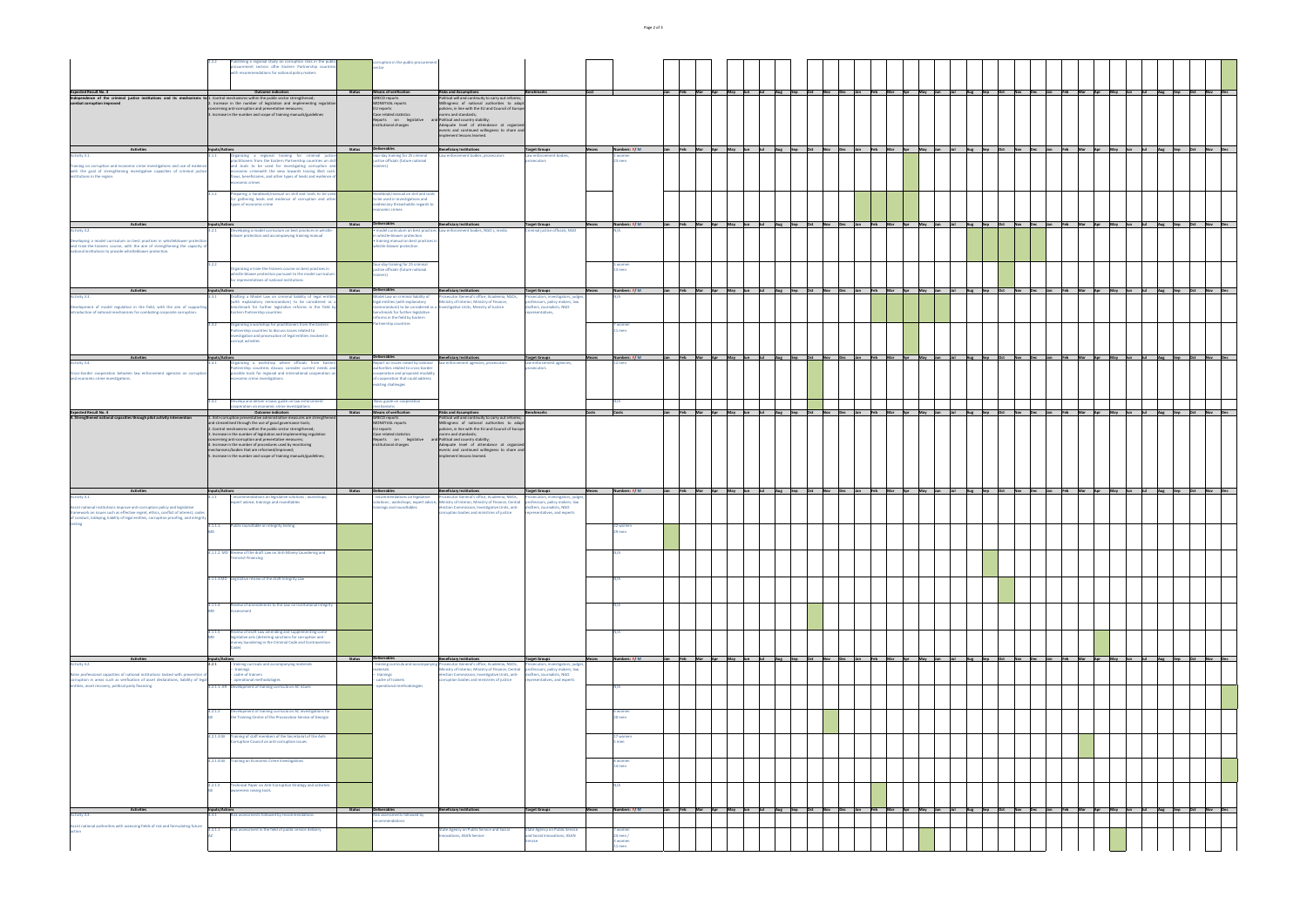| 2.2.2<br>Publishing a regional study on corruption risks in the public<br>procurement sectors ofhe Eastern Partnership countries<br>with recommendations for national policy makers                                                                                                                                                                                                                                                                                                                                                  | corruption in the public procurement<br>sector                                                                                                                                              |                                                                                                                                                                                                                                                                                                                                                                                                                             |                                                                                                                           |                                            |                              |                      |                                                 |                                                       |                                   |             |                                                                                                                                                                                                         |                                                             |                    |                         |                                   |                    |         |
|--------------------------------------------------------------------------------------------------------------------------------------------------------------------------------------------------------------------------------------------------------------------------------------------------------------------------------------------------------------------------------------------------------------------------------------------------------------------------------------------------------------------------------------|---------------------------------------------------------------------------------------------------------------------------------------------------------------------------------------------|-----------------------------------------------------------------------------------------------------------------------------------------------------------------------------------------------------------------------------------------------------------------------------------------------------------------------------------------------------------------------------------------------------------------------------|---------------------------------------------------------------------------------------------------------------------------|--------------------------------------------|------------------------------|----------------------|-------------------------------------------------|-------------------------------------------------------|-----------------------------------|-------------|---------------------------------------------------------------------------------------------------------------------------------------------------------------------------------------------------------|-------------------------------------------------------------|--------------------|-------------------------|-----------------------------------|--------------------|---------|
| <b>Outcome indicators</b><br><b>Status</b><br>1. Control mechanisms within the public sector strengthened;<br>2. Increase in the number of legislation and implementing regulation<br>concerning anti-corruption and preventative measures;<br>3. Increase in the number and scope of training manuals/guidelines<br><b>Status</b><br><b>Inputs/Actions</b>                                                                                                                                                                          | Means of verification<br>GRECO reports<br>MONEYVAL reports<br>EU reports<br>Case related statistics<br>Reports on legislative<br>institutional changes<br>Deliverables                      | <b>Risks and Assumptions</b><br>  Political will and continuity to carry out reforms;<br>Willingness of national authorities to adapt<br>policies, in line with the EU and Council of Europe<br>norms and standards;<br>and Political and country stability;<br>Adequate level of attendance at organized<br>events and continued willingness to share and<br>implement lessons learned.<br><b>Beneficiary Institutions</b> | Benchmarks<br> Cost<br><b>Target Groups</b><br><b>Means</b>                                                               | Numbers: F/M                               | Jan Feb Mar Apr              | May Jun              | $\Delta$ 110<br>$ $ Sep                         | $ $ Oct<br>Nov <b>No</b><br>$\vert$ Dec<br><b>Uan</b> | $\vert$ Feb<br>$\blacksquare$ Mar | Apr May Jun | Jan Feb Mar Apr May Jun Jul Aug Sep Oct Nov Dec Jan Feb Mar Apr May Jun Jul Aug Sep Oct Nov Dec Jan Feb Mar Apr May Jun Jul Aug Sep Oct Nov Dec I<br>$ $ Sep<br>Aug<br><b>Oct</b><br>$\blacksquare$ Nov | $\vert$ Feb<br>$\vert$ Dec                                  | $\blacksquare$ Mar | <b>Apr</b><br>May Jun   | $\vert$ Aug<br>$ $ Sep<br>-llul - | $ $ Oct            | Nov Dec |
| 3.1.1<br>Organizing a regional training for criminal justice<br>practitioners from the Eastern Partnership countries on skill<br>and tools to be used for investigating corruption and<br>economic crimewith the view towards tracing illicit cash-<br>flows, beneficiaries, and other types of leads and evidence of<br>economic crimes                                                                                                                                                                                             | two-day training for 25 criminal<br>justice officials (future national<br>trainers)                                                                                                         | Law enforcement bodies, prosecutors                                                                                                                                                                                                                                                                                                                                                                                         | Law enforcement bodies,<br>prosecutors                                                                                    | 1 women<br>123 men                         |                              |                      |                                                 |                                                       |                                   |             |                                                                                                                                                                                                         |                                                             |                    |                         |                                   |                    |         |
| Preparing a handbook/manual on skill and tools to be used<br>3.1.2<br>for gathering leads and evidence of corruption and other<br>types of economic crime                                                                                                                                                                                                                                                                                                                                                                            | Handbook/manual on skill and tools<br>to be used in investigations and<br>evidenciary threasholdin regards to<br>economic crimes                                                            |                                                                                                                                                                                                                                                                                                                                                                                                                             |                                                                                                                           |                                            |                              |                      |                                                 |                                                       |                                   |             |                                                                                                                                                                                                         |                                                             |                    |                         |                                   |                    |         |
| <b>Inputs/Actions</b><br><b>Status</b><br>Developing a model curriculum on best practices in whistle-<br>3.2.1<br>blower protection and accompanying training manual                                                                                                                                                                                                                                                                                                                                                                 | Deliverables<br>in whistle-blower protection<br>• training manual on best practices in<br>whistle-blower protection                                                                         | <b>Beneficiary Institutions</b><br>• model curriculum on best practices Law enforcement bodies, NGO s, media                                                                                                                                                                                                                                                                                                                | <b>Target Groups</b><br>Criminal justice officials, NGO                                                                   | Numbers: $F/M$                             |                              |                      |                                                 |                                                       |                                   |             | Jan Feb Mar Apr May Jun Jul Aug Sep Oct Nov Dec Jan Feb Mar Apr May Jun Jul Aug Sep Oct Nov Dec Jan Feb Mar Apr May Jun Jul Aug Sep Oct Nov Dec J                                                       |                                                             |                    |                         |                                   |                    |         |
| 3.2.2<br>Organizing a train-the-trainers course on best practices in<br>whistle-blower protection pursuant to the model curriculum<br>for representatives of national institutions                                                                                                                                                                                                                                                                                                                                                   | four-day training for 25 criminal<br>justice officials (future national<br>trainers)                                                                                                        |                                                                                                                                                                                                                                                                                                                                                                                                                             |                                                                                                                           | 5 women<br>$13$ men                        |                              |                      |                                                 |                                                       |                                   |             |                                                                                                                                                                                                         |                                                             |                    |                         |                                   |                    |         |
| <b>Status</b><br><b>Inputs/Actions</b><br>Drafting a Model Law on criminal liability of legal entities<br>3.3.1<br>(with explanatory memorandum) to be considered as a                                                                                                                                                                                                                                                                                                                                                               | Deliverables<br>Model Law on criminal liability of<br>legal entities (with explanatory                                                                                                      | <b>Beneficiary Institutions</b><br>Prosecutor General's office, Academia, NGOs,<br>Ministry of Interior, Ministry of Finance,                                                                                                                                                                                                                                                                                               | <b>Target Groups</b><br>Prosecutors, investigators, judges,<br>professsors, policy makers, law                            | Numbers: F/M                               | Jan Feb Mar Apr May Jun      | <b>Salari</b> Sultan | $A^{\mu}$<br>$ $ Sep                            | <b>Oct</b> Nov<br>$\vert$ Dec                         | Jan Feb Mar Apr May Jun           |             | Jul Aug Sep<br><b>Nov</b>                                                                                                                                                                               | Dec                                                         | Feb Mar Apr        | May Jun                 | a bhalla a<br>Aug Sep             | <b>Oct</b> Nov Dec |         |
| benchmark for further legislative reforms in the field by<br><b>Eastern Partnership countries</b>                                                                                                                                                                                                                                                                                                                                                                                                                                    | benchmark for further legislative<br>reforms in the field by Eastern                                                                                                                        | memorandum) to be considered as a Investigative Units, Ministry of Justice                                                                                                                                                                                                                                                                                                                                                  | drafters, Journalists, NGO<br>representatives,                                                                            |                                            |                              |                      |                                                 |                                                       |                                   |             |                                                                                                                                                                                                         |                                                             |                    |                         |                                   |                    |         |
| Organizing a workshop for practitioners from the Eastern<br>3.3.2<br>Partnership countries to discuss issues related to<br>investigation and prosecution of legal entities involved in<br>corrupt activities                                                                                                                                                                                                                                                                                                                         | <b>Partnership countries</b>                                                                                                                                                                |                                                                                                                                                                                                                                                                                                                                                                                                                             |                                                                                                                           | 7 women<br>11 men                          |                              |                      |                                                 |                                                       |                                   |             |                                                                                                                                                                                                         |                                                             |                    |                         |                                   |                    |         |
| <b>Inputs/Actions</b><br><b>Status</b><br>Organizing a workshop where officials from Eastern<br>3.4.1<br>Partnership countries discuss consider current needs and<br>possible tools for regional and international cooperation on<br>economic crime investigations.                                                                                                                                                                                                                                                                  | Deliverables<br>Report on issues raised by national<br>authorities related to cross-border<br>cooperation and proposed modality<br>of cooperation that could address<br>existing challenges | <b>Beneficiary Institutions</b><br>law enforcement agencies, prosecutors                                                                                                                                                                                                                                                                                                                                                    | Target Groups<br><b>Means</b><br>law enforcement agencies,<br>prosecutors                                                 | Numbers: F/M<br>$12$ men                   |                              |                      |                                                 |                                                       |                                   |             | Jan Feb Mar Apr May Jun Jul Aug Sep Oct Nov Dec Jan Feb Mar Apr May Jun Jul Aug Sep Oct Nov Dec Jan Feb Mar Apr May Jun Jul Aug Sep Oct Nov Dec                                                         |                                                             |                    |                         |                                   |                    |         |
| 3.4.2<br>Develop and deliver a basic guide on law enforcement<br>cooperation on economic crime investigations<br><b>Outcome indicators</b><br><b>Status</b>                                                                                                                                                                                                                                                                                                                                                                          | Basic guide on cooperation<br>mechanisms<br>Means of verification                                                                                                                           | <b>Risks and Assumptions</b>                                                                                                                                                                                                                                                                                                                                                                                                | Benchmarks<br><b>Costs</b>                                                                                                | Costs                                      |                              |                      |                                                 |                                                       |                                   |             | Jan  Feb  Mar  Apr  May  Jun  Jul  Aug  Sep  Oct  Nov  Dec  Jan  Feb  Mar  Apr  May  Jun  Jul  Aug  Sep  Om   Mar  Apr  May  Jun  Jul  Aug  Sep  Oct  Nov  Dec                                          |                                                             |                    |                         |                                   |                    |         |
| 1. Anti-corruption preventative administrative measures are strengthened $\vert$<br>and streamlined through the use of good governance tools;<br>2. Control mechanisms within the public sector strengthened;<br>3. Increase in the number of legislation and implementing regulation<br>concerning anti-corruption and preventative measures;<br>4. Increase in the number of procedures used by monitoring<br>mechanisms/bodies that are reformed/improved;<br>5. Increase in the number and scope of training manuals/guidelines; | <b>GRECO</b> reports<br>MONEYVAL reports<br>EU reports<br>Case related statistics<br>Reports on legislative<br>institutional changes                                                        | Political will and continuity to carry out reforms;<br>Willingness of national authorities to adapt<br>policies, in line with the EU and Council of Europe<br>norms and standards;<br>and Political and country stability;<br>Adequate level of attendance at organized<br>events and continued willingness to share and<br>implement lessons learned.                                                                      |                                                                                                                           |                                            |                              |                      |                                                 |                                                       |                                   |             |                                                                                                                                                                                                         |                                                             |                    |                         |                                   |                    |         |
| <b>Inputs/Actions</b><br><b>Status</b><br>- recommendations on legislative solutions ; workshops;<br>4.1.1<br>expert advice; trainings and roundtables                                                                                                                                                                                                                                                                                                                                                                               | Deliverables<br>recommendations on legislative<br>trainings and roundtables                                                                                                                 | <b>Beneficiary Institutions</b><br>Prosecutor General's office, Academia, NGOs,<br>solutions; workshops; expert advice; Ministry of Interior, Ministry of Finance, Central professsors, policy makers, law<br>election Commission, Investigative Units, anti-<br>corruption bodies and ministries of justice                                                                                                                | <b>Target Groups</b><br>Prosecutors, investigators, judges,<br>drafters, Journalists, NGO<br>representatives, and experts | Numbers: F/M                               | Jan  Feb  Mar  Apr  May  Jun | a da baile a s       | $\vert$ Aug $\vert$ Sep $\vert$ Oct $\vert$ Nov | Dec                                                   | Jan Feb Mar Apr May Jun           |             | $ $ Jul $ $ Aug $ $ Sep $ $ Oct $ $ Nov $ $ Dec                                                                                                                                                         |                                                             |                    | Jan Feb Mar Apr May Jun | Jul Aug Sep Oct Nov Dec           |                    |         |
| 4.1.1.1.<br>Public roundtable on integrity testing<br>MD                                                                                                                                                                                                                                                                                                                                                                                                                                                                             |                                                                                                                                                                                             |                                                                                                                                                                                                                                                                                                                                                                                                                             |                                                                                                                           | 22 women<br>129 men                        |                              |                      |                                                 |                                                       |                                   |             |                                                                                                                                                                                                         |                                                             |                    |                         |                                   |                    |         |
| 4.1.1.2. MD Review of the draft Law on Anti-Money Laundering and<br><b>Terrorist Financing</b>                                                                                                                                                                                                                                                                                                                                                                                                                                       |                                                                                                                                                                                             |                                                                                                                                                                                                                                                                                                                                                                                                                             |                                                                                                                           |                                            |                              |                      |                                                 |                                                       |                                   |             |                                                                                                                                                                                                         |                                                             |                    |                         |                                   |                    |         |
| 4.1.1.3 MD Legislative review of the draft Integrity Law                                                                                                                                                                                                                                                                                                                                                                                                                                                                             |                                                                                                                                                                                             |                                                                                                                                                                                                                                                                                                                                                                                                                             |                                                                                                                           |                                            |                              |                      |                                                 |                                                       |                                   |             |                                                                                                                                                                                                         |                                                             |                    |                         |                                   |                    |         |
| 4.1.1.4<br>Review of amendments to the Law on Institutional Integrity<br>MD<br>Assessment                                                                                                                                                                                                                                                                                                                                                                                                                                            |                                                                                                                                                                                             |                                                                                                                                                                                                                                                                                                                                                                                                                             |                                                                                                                           |                                            |                              |                      |                                                 |                                                       |                                   |             |                                                                                                                                                                                                         |                                                             |                    |                         |                                   |                    |         |
| Review of draft Law amending and supplementing some<br>4.1.1.5<br><b>MD</b><br>legislative acts (deterring sanctions for corruption and<br>money laundering in the Criminal Code and Contravention                                                                                                                                                                                                                                                                                                                                   |                                                                                                                                                                                             |                                                                                                                                                                                                                                                                                                                                                                                                                             |                                                                                                                           |                                            |                              |                      |                                                 |                                                       |                                   |             |                                                                                                                                                                                                         |                                                             |                    |                         |                                   |                    |         |
| <b>Status</b><br><b>Inputs/Actions</b><br>4.2.1<br>- training curricula and accompanying materials<br>trainings                                                                                                                                                                                                                                                                                                                                                                                                                      | Deliverables<br>materials                                                                                                                                                                   | <b>Beneficiary Institutions</b><br>- training curricula and accompanying Prosecutor General's office, Academia, NGOs,<br>Ministry of Interior, Ministry of Finance, Central                                                                                                                                                                                                                                                 | <b>Target Groups</b><br><b>Means</b><br>rosecutors, investigators, judges,<br>professsors, policy makers, law             | Numbers: F/M                               | Jan  Feb  Mar  Apr  May  Jun | a bulan s            | $\vert$ Aug $\vert$ Sep                         | $ Oct$ $ Nov$ $ Dec$                                  | Jan  Feb  Mar  Apr  May  Jun      |             | Jul Aug Sep<br>$ $ Oct                                                                                                                                                                                  | $\begin{vmatrix} \mathsf{Nov} & \mathsf{Dec} \end{vmatrix}$ |                    | Feb Mar Apr May Jun     | <b>Jul</b><br>Aug Sep             | Oct Nov Dec        |         |
| - cadre of trainers<br>- operational methodologies<br>4.2.1.1. AR Development of training curricula on AC issues                                                                                                                                                                                                                                                                                                                                                                                                                     | - trainings<br>cadre of trainers<br>operational methodologies                                                                                                                               | election Commission, Investigative Units, anti-<br>corruption bodies and ministries of justice                                                                                                                                                                                                                                                                                                                              | drafters, Journalists, NGO<br>representatives, and experts                                                                |                                            |                              |                      |                                                 |                                                       |                                   |             |                                                                                                                                                                                                         |                                                             |                    |                         |                                   |                    |         |
| 4.2.1.2 Development of training curricula on AC investigations for<br>the Training Centre of the Prosecution Service of Georgia<br>GF -                                                                                                                                                                                                                                                                                                                                                                                              |                                                                                                                                                                                             |                                                                                                                                                                                                                                                                                                                                                                                                                             |                                                                                                                           | 6 women<br>120 men                         |                              |                      |                                                 |                                                       |                                   |             |                                                                                                                                                                                                         |                                                             |                    |                         |                                   |                    |         |
| 4.2.1.3 GE Training of staff members of the Secretariat of the Anti-<br>Corruption Council on anti-corruption issues                                                                                                                                                                                                                                                                                                                                                                                                                 |                                                                                                                                                                                             |                                                                                                                                                                                                                                                                                                                                                                                                                             |                                                                                                                           | 17 women<br><b>D</b> IIIEII                |                              |                      |                                                 |                                                       |                                   |             |                                                                                                                                                                                                         |                                                             |                    |                         |                                   |                    |         |
| 4.2.1.4 GE Training on Economic Crime Investigations                                                                                                                                                                                                                                                                                                                                                                                                                                                                                 |                                                                                                                                                                                             |                                                                                                                                                                                                                                                                                                                                                                                                                             |                                                                                                                           | 8 women<br>114 men                         |                              |                      |                                                 |                                                       |                                   |             |                                                                                                                                                                                                         |                                                             |                    |                         |                                   |                    |         |
| 4.2.1.5 <b>Technical Paper on Anti-Corruption Strategy and activities</b><br><b>GE</b><br>awareness raising tools<br><b>Status</b>                                                                                                                                                                                                                                                                                                                                                                                                   | Deliverables                                                                                                                                                                                | <b>Beneficiary Institutions</b>                                                                                                                                                                                                                                                                                                                                                                                             | <b>Target Groups</b><br>Means                                                                                             | Numbers: F/M                               | Jan Feb Mar Apr May Jun Jul  |                      |                                                 |                                                       |                                   |             | wang sep Oct Nov Dec Jan Feb Mar Apr May Jun Jul Aug Sep Oct Nov Dec Jan Feb Mar Apr May Jun Jul Aug Sep                                                                                                |                                                             |                    |                         |                                   | Oct Nov Dec        |         |
| <b>Inputs/Actions</b><br>Risk assessments followed by recommendations<br>4.3.1                                                                                                                                                                                                                                                                                                                                                                                                                                                       | Risk assessments followed by<br>recommendations                                                                                                                                             |                                                                                                                                                                                                                                                                                                                                                                                                                             |                                                                                                                           |                                            |                              |                      |                                                 |                                                       |                                   |             |                                                                                                                                                                                                         |                                                             |                    |                         |                                   |                    |         |
| Risk assessment in the field of public service delivery<br>4.3.1.1<br>AZ                                                                                                                                                                                                                                                                                                                                                                                                                                                             |                                                                                                                                                                                             | <b>State Agency on Public Service and Social</b><br>nnovations; ASAN Service                                                                                                                                                                                                                                                                                                                                                | <b>State Agency on Public Service</b><br>and Social Innovations; ASAN<br><b>Service</b>                                   | 7 women<br>$24$ men /<br>3 women<br>11 men |                              |                      |                                                 |                                                       |                                   |             |                                                                                                                                                                                                         |                                                             |                    |                         |                                   |                    |         |

|                                                                                                                                                                                                                                                                      | 2.2.2                          | Publishing a regional study on corruption risks in the public<br>procurement sectors ofhe Eastern Partnership countries<br>with recommendations for national policy makers                                                                                                                                                                                                                                                                                                                                                   |               | corruption in the public procu<br>sector                                                                                                                                   |
|----------------------------------------------------------------------------------------------------------------------------------------------------------------------------------------------------------------------------------------------------------------------|--------------------------------|------------------------------------------------------------------------------------------------------------------------------------------------------------------------------------------------------------------------------------------------------------------------------------------------------------------------------------------------------------------------------------------------------------------------------------------------------------------------------------------------------------------------------|---------------|----------------------------------------------------------------------------------------------------------------------------------------------------------------------------|
| <b>Expected Result No. 3</b><br>Independence of the criminal justice institutions and its mechanisms to 1. Control mechanisms within the public sector strengthened;<br>combat corruption improved                                                                   |                                | <b>Outcome indicators</b><br>2. Increase in the number of legislation and implementing regulation<br>concerning anti-corruption and preventative measures;<br>3. Increase in the number and scope of training manuals/guidelines                                                                                                                                                                                                                                                                                             | <b>Status</b> | <b>Means of verification</b><br><b>GRECO</b> reports<br>MONEYVAL reports<br>EU reports<br>Case related statistics<br>Reports<br>on<br>legislative<br>institutional changes |
| <b>Activities</b>                                                                                                                                                                                                                                                    | Inputs/Actions                 |                                                                                                                                                                                                                                                                                                                                                                                                                                                                                                                              | <b>Status</b> | <b>Deliverables</b>                                                                                                                                                        |
| Activity 3.1.<br>Training on corruption and economic crime investigations and use of evidence<br>with the goal of strengthening investigative capacities of criminal justice<br>institutions in the region.                                                          | 3.1.1                          | Organizing a regional training for criminal justice<br>practitioners from the Eastern Partnership countries on skill<br>and tools to be used for investigating corruption and<br>economic crimewith the view towards tracing illicit cash-<br>flows, beneficiaries, and other types of leads and evidence of<br>economic crimes                                                                                                                                                                                              |               | two-day training for 25 crimin<br>justice officials (future nationa<br>trainers)                                                                                           |
|                                                                                                                                                                                                                                                                      | 3.1.2                          | Preparing a handbook/manual on skill and tools to be used<br>for gathering leads and evidence of corruption and other<br>types of economic crime                                                                                                                                                                                                                                                                                                                                                                             |               | Handbook/manual on skill and<br>to be used in investigations ar<br>evidenciary threasholdin regar<br>economic crimes                                                       |
| <b>Activities</b><br>Activity 3.2.                                                                                                                                                                                                                                   | <b>Inputs/Actions</b><br>3.2.1 | Developing a model curriculum on best practices in whistle-                                                                                                                                                                                                                                                                                                                                                                                                                                                                  | <b>Status</b> | Deliverables<br>· model curriculum on best pr                                                                                                                              |
| Developing a model curriculum on best practices in whistleblower protection<br>and train-the-trainers course, with the aim of strengthening the capacity of<br>national institutions to provide whistleblower protection.                                            |                                | blower protection and accompanying training manual                                                                                                                                                                                                                                                                                                                                                                                                                                                                           |               | in whistle-blower protection<br>· training manual on best prac<br>whistle-blower protection                                                                                |
| <b>Activities</b>                                                                                                                                                                                                                                                    | 3.2.2<br>Inputs/Actions        | Organizing a train-the-trainers course on best practices in<br>whistle-blower protection pursuant to the model curriculum<br>for representatives of national institutions                                                                                                                                                                                                                                                                                                                                                    | <b>Status</b> | four-day training for 25 crimin<br>justice officials (future nationa<br>trainers)<br><b>Deliverables</b>                                                                   |
| Activity 3.3.                                                                                                                                                                                                                                                        | 3.3.1                          | Drafting a Model Law on criminal liability of legal entities<br>(with explanatory memorandum) to be considered as a                                                                                                                                                                                                                                                                                                                                                                                                          |               | Model Law on criminal liability<br>legal entities (with explanator                                                                                                         |
| Development of model regulation in the field, with the aim of supporting<br>introduction of national mechanisms for combating corporate corruption.                                                                                                                  | 3.3.2                          | benchmark for further legislative reforms in the field by<br><b>Eastern Partnership countries</b><br>Organizing a workshop for practitioners from the Eastern<br>Partnership countries to discuss issues related to<br>investigation and prosecution of legal entities involved in                                                                                                                                                                                                                                           |               | memorandum) to be consider<br>benchmark for further legislat<br>reforms in the field by Eastern<br>Partnership countries                                                   |
|                                                                                                                                                                                                                                                                      |                                | corrupt activities                                                                                                                                                                                                                                                                                                                                                                                                                                                                                                           |               |                                                                                                                                                                            |
| <b>Activities</b><br>Activity 3.4.<br>Cross-border cooperation between law enforcement agencies on corruption<br>and economic crime investigations.                                                                                                                  | Inputs/Actions<br>3.4.1        | Organizing a workshop where officials from Eastern<br>Partnership countries discuss consider current needs and<br>possible tools for regional and international cooperation on<br>economic crime investigations.                                                                                                                                                                                                                                                                                                             | <b>Status</b> | Deliverables<br>Report on issues raised by nat<br>authorities related to cross-bo<br>cooperation and proposed mo<br>of cooperation that could add<br>existing challenges   |
| <b>Expected Result No. 4</b>                                                                                                                                                                                                                                         | 3.4.2                          | Develop and deliver a basic guide on law enforcement<br>cooperation on economic crime investigations<br><b>Outcome indicators</b>                                                                                                                                                                                                                                                                                                                                                                                            | <b>Status</b> | Basic guide on cooperation<br>mechanisms<br><b>Means of verification</b>                                                                                                   |
| 4. Strengthened national capacities through pilot activity intervention                                                                                                                                                                                              |                                | 1. Anti-corruption preventative administrative measures are strengthened<br>and streamlined through the use of good governance tools;<br>2. Control mechanisms within the public sector strengthened;<br>3. Increase in the number of legislation and implementing regulation<br>concerning anti-corruption and preventative measures;<br>4. Increase in the number of procedures used by monitoring<br>mechanisms/bodies that are reformed/improved;<br>5. Increase in the number and scope of training manuals/guidelines; |               | <b>GRECO</b> reports<br>MONEYVAL reports<br>EU reports<br>Case related statistics<br>Reports<br>on<br>legislative<br>institutional changes                                 |
| <b>Activities</b><br>Activity 4.1.                                                                                                                                                                                                                                   | <b>Inputs/Actions</b><br>4.1.1 | recommendations on legislative solutions; workshops;<br>expert advice; trainings and roundtables                                                                                                                                                                                                                                                                                                                                                                                                                             | <b>Status</b> | <b>Deliverables</b><br>recommendations on legislat<br>solutions ; workshops; expert                                                                                        |
| Assist national institutions improve anti-corruption policy and legislative<br>framework on issues such as effective regret, ethics, conflict of interest, codes<br>of conduct, lobbying, liability of legal entities, corruption proofing, and integrity<br>testing | 4.1.1.1.                       | Public roundtable on integrity testing                                                                                                                                                                                                                                                                                                                                                                                                                                                                                       |               | trainings and roundtables                                                                                                                                                  |
|                                                                                                                                                                                                                                                                      | <b>MD</b>                      |                                                                                                                                                                                                                                                                                                                                                                                                                                                                                                                              |               |                                                                                                                                                                            |
|                                                                                                                                                                                                                                                                      |                                | 4.1.1.2. MD Review of the draft Law on Anti-Money Laundering and<br><b>Terrorist Financing</b>                                                                                                                                                                                                                                                                                                                                                                                                                               |               |                                                                                                                                                                            |
|                                                                                                                                                                                                                                                                      | 4.1.1.3 MD                     | Legislative review of the draft Integrity Law                                                                                                                                                                                                                                                                                                                                                                                                                                                                                |               |                                                                                                                                                                            |
|                                                                                                                                                                                                                                                                      | 4.1.1.4<br><b>MD</b>           | Review of amendments to the Law on Institutional Integrity<br>Assessment                                                                                                                                                                                                                                                                                                                                                                                                                                                     |               |                                                                                                                                                                            |
|                                                                                                                                                                                                                                                                      | 4.1.1.5<br><b>MD</b>           | Review of draft Law amending and supplementing some<br>legislative acts (deterring sanctions for corruption and<br>money laundering in the Criminal Code and Contravention<br>Code)                                                                                                                                                                                                                                                                                                                                          |               |                                                                                                                                                                            |
| <b>Activities</b><br>Activity 4.2.                                                                                                                                                                                                                                   | Inputs/Actions<br>4.2.1        | training curricula and accompanying materials                                                                                                                                                                                                                                                                                                                                                                                                                                                                                | <b>Status</b> | Deliverables<br>training curricula and accom                                                                                                                               |
| Raise professional capacities of national institutions tasked with prevention of<br>corruption in areas such as verification of asset declarations, liability of legal<br>entities, asset recovery, political party financing                                        | 4.2.1.1. AR                    | trainings<br>cadre of trainers<br>operational methodologies<br>Development of training curricula on AC issues                                                                                                                                                                                                                                                                                                                                                                                                                |               | materials<br>- trainings<br>cadre of trainers<br>operational methodologies                                                                                                 |
|                                                                                                                                                                                                                                                                      | 4.2.1.2<br><b>GE</b>           | Development of training curricula on AC investigations for<br>the Training Centre of the Prosecution Service of Georgia                                                                                                                                                                                                                                                                                                                                                                                                      |               |                                                                                                                                                                            |
|                                                                                                                                                                                                                                                                      | 4.2.1.3 GE                     | Training of staff members of the Secretariat of the Anti-<br>Corruption Council on anti-corruption issues                                                                                                                                                                                                                                                                                                                                                                                                                    |               |                                                                                                                                                                            |
|                                                                                                                                                                                                                                                                      | 4.2.1.4 GE                     | <b>Training on Economic Crime Investigations</b>                                                                                                                                                                                                                                                                                                                                                                                                                                                                             |               |                                                                                                                                                                            |
|                                                                                                                                                                                                                                                                      | 4.2.1.5<br><b>GE</b>           | Technical Paper on Anti-Corruption Strategy and activities<br>awareness raising tools                                                                                                                                                                                                                                                                                                                                                                                                                                        |               |                                                                                                                                                                            |
| <b>Activities</b><br>Activity 4.3.                                                                                                                                                                                                                                   | Inputs/Actions<br>4.3.1        | Risk assessments followed by recommendations                                                                                                                                                                                                                                                                                                                                                                                                                                                                                 | <b>Status</b> | Deliverables<br>Risk assessments followed by<br>recommendations                                                                                                            |
| Assist national authorities with assessing fields of risk and formulating future<br>action                                                                                                                                                                           | 4.3.1.1<br><b>AZ</b>           | Risk assessment in the field of public service delivery                                                                                                                                                                                                                                                                                                                                                                                                                                                                      |               |                                                                                                                                                                            |